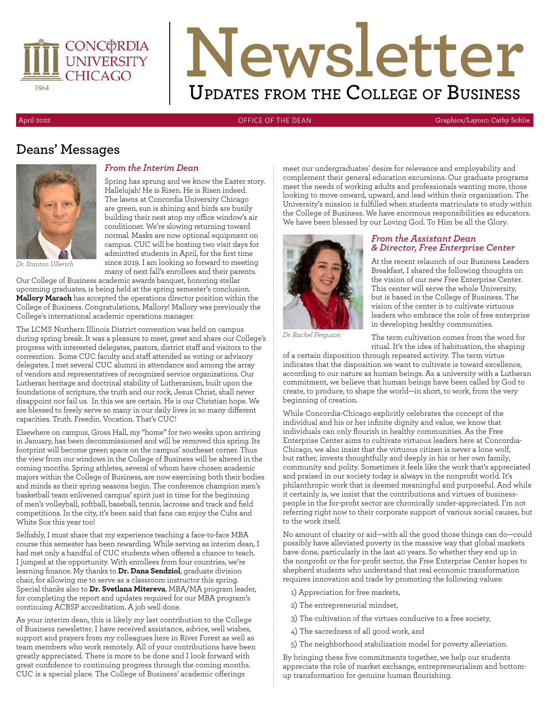

# **Newsletter Updates from the College of Business**

April 2022 OFFICE OF THE DEAN Graphics/Layout: Cathy Schlie

#### **Deans' Messages**



#### *From the Interim Dean*

Spring has sprung and we know the Easter story. Hallelujah! He is Risen. He is Risen indeed. The lawns at Concordia University Chicago are green, sun is shining and birds are busily building their nest atop my office window's air conditioner. We're slowing returning toward normal. Masks are now optional equipment on campus. CUC will be hosting two visit days for admintted students in April, for the first time since 2019. I am looking so forward to meeting many of next fall's enrollees and their parents.

*Dr. Stanton Ullerich*

Our College of Business academic awards banquet, honoring stellar upcoming graduates, is being held at the spring semester's conclusion. **Mallory Marach** has accepted the operations director position within the College of Business. Congratulations, Mallory! Mallory was previously the College's international academic operations manager.

The LCMS Northern Illinois District convention was held on campus during spring break. It was a pleasure to meet, greet and share our College's progress with interested delegates, pastors, district staff and visitors to the convention. Some CUC faculty and staff attended as voting or advisory delegates. I met several CUC alumni in attendance and among the array of vendors and representatives of recognized service organizations. Our Lutheran heritage and doctrinal stability of Lutheranism, built upon the foundations of scripture, the truth and our rock, Jesus Christ, shall never disappoint nor fail us. In this we are certain. He is our Christian hope. We are blessed to freely serve so many in our daily lives in so many different capacities. Truth. Freedin. Vocation. That's CUC!

Elsewhere on campus, Gross Hall, my "home" for two weeks upon arriving in January, has been decommissioned and will be removed this spring. Its footprint will become green space on the campus' southeast corner. Thus the view from our windows in the College of Business will be altered in the coming months. Spring athletes, several of whom have chosen academic majors within the College of Business, are now exercising both their bodies and minds as their spring seasons begin. The conference champion men's basketball team enlivened campus' spirit just in time for the beginning of men's volleyball, softball, baseball, tennis, lacrosse and track and field competitions. In the city, it's been said that fans can enjoy the Cubs and White Sox this year too!

Selfishly, I must share that my experience teaching a face-to-face MBA course this semester has been rewarding. While serving as interim dean, I had met only a handful of CUC students when offered a chance to teach. I jumped at the opportunity. With enrollees from four countries, we're learning finance. My thanks to **Dr. Dana Sendziol**, graduate division chair, for allowing me to serve as a classroom instructor this spring. Special thanks also to **Dr. Svetlana Mitereva**, MBA/MA program leader, for completing the report and updates required for our MBA program's continuing ACBSP accreditation. A job well done.

As your interim dean, this is likely my last contribution to the College of Business newsletter. I have received assistance, advice, well wishes, support and prayers from my colleagues here in River Forest as well as team members who work remotely. All of your contributions have been greatly appreciated. There is more to be done and I look forward with great confidence to continuing progress through the coming months. CUC is a special place. The College of Business' academic offerings

meet our undergraduates' desire for relevance and employability and complement their general education excursions. Our graduate programs meet the needs of working adults and professionals wanting more, those looking to move onward, upward, and lead within their organization. The University's mission is fulfilled when students matriculate to study within the College of Business. We have enormous responsibilities as educators. We have been blessed by our Loving God. To Him be all the Glory.



#### *From the Assistant Dean & Director, Free Enterprise Center*

At the recent relaunch of our Business Leaders Breakfast, I shared the following thoughts on the vision of our new Free Enterprise Center. This center will serve the whole University, but is based in the College of Business. The vision of the center is to cultivate virtuous leaders who embrace the role of free enterprise in developing healthy communities.

*Dr. Rachel Ferguson*

The term cultivation comes from the word for ritual. It's the idea of habituation, the shaping

of a certain disposition through repeated activity. The term virtue indicates that the disposition we want to cultivate is toward excellence, according to our nature as human beings. As a university with a Lutheran commitment, we believe that human beings have been called by God to create, to produce, to shape the world—in short, to work, from the very beginning of creation.

While Concordia-Chicago explicitly celebrates the concept of the individual and his or her infinite dignity and value, we know that individuals can only flourish in healthy communities. As the Free Enterprise Center aims to cultivate virtuous leaders here at Concordia-Chicago, we also insist that the virtuous citizen is never a lone wolf, but rather, invests thoughtfully and deeply in his or her own family, community and polity. Sometimes it feels like the work that's appreciated and praised in our society today is always in the nonprofit world. It's philanthropic work that is deemed meaningful and purposeful. And while it certainly is, we insist that the contributions and virtues of businesspeople in the for-profit sector are chronically under-appreciated. I'm not referring right now to their corporate support of various social causes, but to the work itself.

No amount of charity or aid—with all the good those things can do—could possibly have alleviated poverty in the massive way that global markets have done, particularly in the last 40 years. So whether they end up in the nonprofit or the for-profit sector, the Free Enterprise Center hopes to shepherd students who understand that real economic transformation requires innovation and trade by promoting the following values:

- 1) Appreciation for free markets,
- 2) The entrepreneurial mindset,
- 3) The cultivation of the virtues conducive to a free society,
- 4) The sacredness of all good work, and
- 5) The neighborhood stabilization model for poverty alleviation.

By bringing these five commitments together, we help our students appreciate the role of market exchange, entrepreneurialism and bottomup transformation for genuine human flourishing.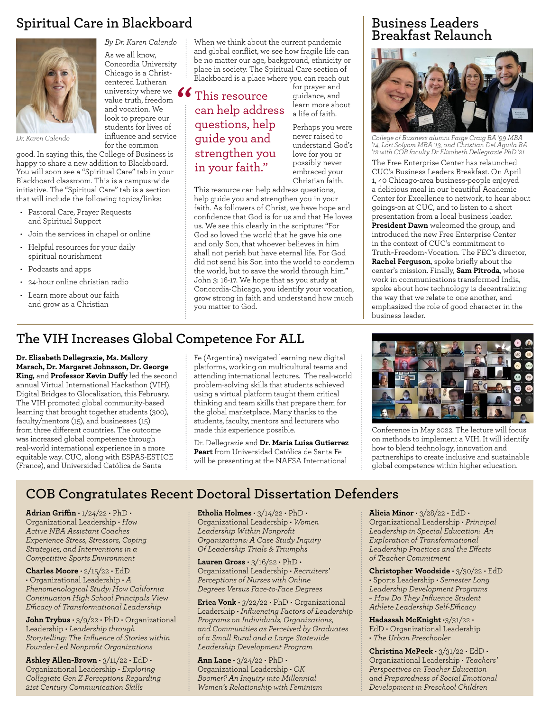## **Spiritual Care in Blackboard**



*By Dr. Karen Calendo* As we all know, Concordia University Chicago is a Christcentered Lutheran university where we<br>
value truth, freedom<br>
and vocation. We value truth, freedom and vocation. We look to prepare our students for lives of influence and service for the common

*Dr. Karen Calendo*

good. In saying this, the College of Business is happy to share a new addition to Blackboard. You will soon see a "Spiritual Care" tab in your Blackboard classroom. This is a campus-wide initiative. The "Spiritual Care" tab is a section that will include the following topics/links:

- Pastoral Care, Prayer Requests and Spiritual Support
- Join the services in chapel or online
- Helpful resources for your daily spiritual nourishment
- Podcasts and apps
- 24-hour online christian radio
- Learn more about our faith and grow as a Christian

When we think about the current pandemic and global conflict, we see how fragile life can be no matter our age, background, ethnicity or place in society. The Spiritual Care section of Blackboard is a place where you can reach out

This resource can help address questions, help guide you and strengthen you in your faith."

for prayer and guidance, and learn more about a life of faith. Perhaps you were

never raised to understand God's love for you or possibly never embraced your Christian faith.

This resource can help address questions, help guide you and strengthen you in your faith. As followers of Christ, we have hope and confidence that God is for us and that He loves us. We see this clearly in the scripture: "For God so loved the world that he gave his one and only Son, that whoever believes in him shall not perish but have eternal life. For God did not send his Son into the world to condemn the world, but to save the world through him." John 3: 16-17. We hope that as you study at Concordia-Chicago, you identify your vocation, grow strong in faith and understand how much you matter to God.

#### **Business Leaders Breakfast Relaunch**



*College of Business alumni Paige Craig BA '99 MBA '14, Lori Solyom MBA '13, and Christian Del Aguila BA '12 with COB faculty Dr Elisabeth Dellegrazie PhD '21* The Free Enterprise Center has relaunched CUC's Business Leaders Breakfast. On April 1, 40 Chicago-area business-people enjoyed a delicious meal in our beautiful Academic Center for Excellence to network, to hear about goings-on at CUC, and to listen to a short presentation from a local business leader. **President Dawn** welcomed the group, and introduced the new Free Enterprise Center in the context of CUC's commitment to Truth~Freedom~Vocation. The FEC's director, **Rachel Ferguson**, spoke briefly about the center's mission. Finally, **Sam Pitroda**, whose work in communications transformed India, spoke about how technology is decentralizing the way that we relate to one another, and emphasized the role of good character in the

#### **The VIH Increases Global Competence For ALL**

**Dr. Elisabeth Dellegrazie, Ms. Mallory Marach, Dr. Margaret Johnsson, Dr. George King,** and **Professor Kevin Duffy** led the second annual Virtual International Hackathon (VIH), Digital Bridges to Glocalization, this February. The VIH promoted global community-based learning that brought together students (300), faculty/mentors (15), and businesses  $(15)$ from three different countries. The outcome was increased global competence through real-world international experience in a more equitable way. CUC, along with ESPAS-ESTICE (France), and Universidad Católica de Santa

Fe (Argentina) navigated learning new digital platforms, working on multicultural teams and attending international lectures. The real-world problem-solving skills that students achieved using a virtual platform taught them critical thinking and team skills that prepare them for the global marketplace. Many thanks to the students, faculty, mentors and lecturers who made this experience possible.

Dr. Dellegrazie and **Dr. Maria Luisa Gutierrez Peart** from Universidad Católica de Santa Fe will be presenting at the NAFSA International



business leader.

Conference in May 2022. The lecture will focus on methods to implement a VIH. It will identify how to blend technology, innovation and partnerships to create inclusive and sustainable global competence within higher education.

#### **COB Congratulates Recent Doctoral Dissertation Defenders**

**Adrian Griffin** • 1/24/22 • PhD • Organizational Leadership • *How Active NBA Assistant Coaches Experience Stress, Stressors, Coping Strategies, and Interventions in a Competitive Sports Environment*

**Charles Moore** • 2/15/22 • EdD • Organizational Leadership • *A Phenomenological Study: How California Continuation High School Principals View Efficacy of Transformational Leadership*

**John Trybus** • 3/9/22 • PhD • Organizational Leadership • *Leadership through Storytelling: The Influence of Stories within Founder-Led Nonprofit Organizations*

**Ashley Allen-Brown** • 3/11/22 • EdD • Organizational Leadership • *Exploring Collegiate Gen Z Perceptions Regarding 21st Century Communication Skills*

**Etholia Holmes** • 3/14/22 • PhD • Organizational Leadership • *Women Leadership Within Nonprofit Organizations: A Case Study Inquiry Of Leadership Trials & Triumphs*

**Lauren Gross** • 3/16/22 • PhD • Organizational Leadership • *Recruiters' Perceptions of Nurses with Online Degrees Versus Face-to-Face Degrees*

**Erica Vonk** • *3*/22/22 • PhD • Organizational Leadership • *Influencing Factors of Leadership Programs on Individuals, Organizations, and Communities as Perceived by Graduates of a Small Rural and a Large Statewide Leadership Development Program*

**Ann Lane** • 3/24/22 • PhD • Organizational Leadership • *OK Boomer? An Inquiry into Millennial Women's Relationship with Feminism* **Alicia Minor** • 3/28/22 • EdD • Organizational Leadership • *Principal Leadership in Special Education: An Exploration of Transformational Leadership Practices and the Effects of Teacher Commitment*

**Christopher Woodside** • 3/30/22 • EdD • Sports Leadership • *Semester Long Leadership Development Programs – How Do They Influence Student Athlete Leadership Self-Efficacy*

**Hadassah McKnight** •3/31/22 • EdD • Organizational Leadership • *The Urban Preschooler*

**Christina McPeck** • 3/31/22 • EdD • Organizational Leadership • *Teachers' Perspectives on Teacher Education and Preparedness of Social Emotional Development in Preschool Children*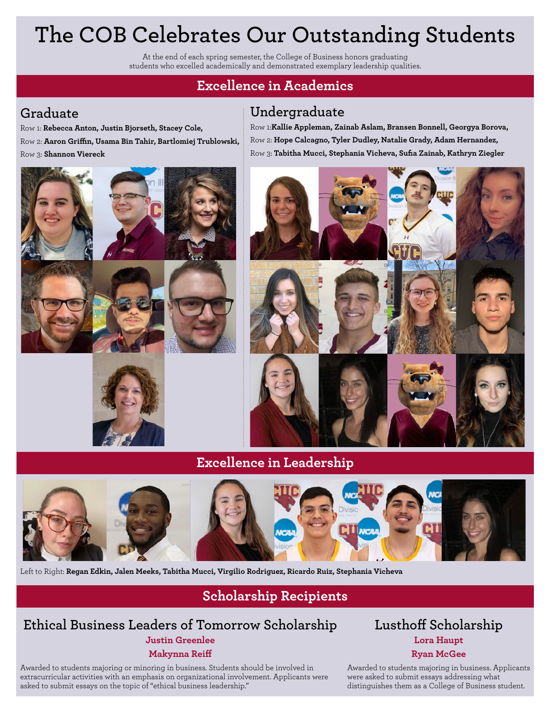## **The COB Celebrates Our Outstanding Students**

At the end of each spring semester, the College of Business honors graduating students who excelled academically and demonstrated exemplary leadership qualities.

## **Excellence in Academics**

#### **Graduate**

Row 1: **Rebecca Anton, Justin Bjorseth, Stacey Cole,** Row 2: **Aaron Griffin, Usama Bin Tahir, Bartlomiej Trublowski,** 

Row 3: **Shannon Viereck**

**Undergraduate**

Row 1:**Kallie Appleman, Zainab Aslam, Bransen Bonnell, Georgya Borova,** Row 2: **Hope Calcagno, Tyler Dudley, Natalie Grady, Adam Hernandez,** Row 3: **Tabitha Mucci, Stephania Vicheva, Sufia Zainab, Kathryn Ziegler**



#### **Excellence in Leadership**



Left to Right: **Regan Edkin, Jalen Meeks, Tabitha Mucci, Virgilio Rodriguez, Ricardo Ruiz, Stephania Vicheva** 

## **Scholarship Recipients**

#### **Ethical Business Leaders of Tomorrow Scholarship Justin Greenlee Makynna Reiff**

Awarded to students majoring or minoring in business. Students should be involved in extracurricular activities with an emphasis on organizational involvement. Applicants were asked to submit essays on the topic of "ethical business leadership."

#### **Lusthoff Scholarship Lora Haupt Ryan McGee**

Awarded to students majoring in business. Applicants were asked to submit essays addressing what distinguishes them as a College of Business student.